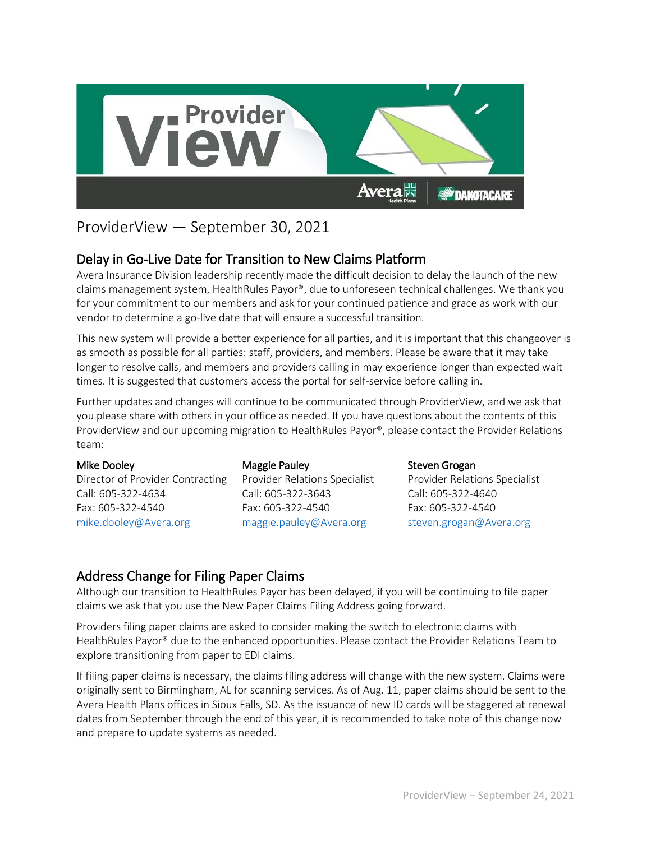

# ProviderView — September 30, 2021

Delay in Go-Live Date for Transition to New Claims Platform<br>Avera Insurance Division leadership recently made the difficult decision to delay the launch of the new claims management system, HealthRules Payor®, due to unforeseen technical challenges. We thank you for your commitment to our members and ask for your continued patience and grace as work with our vendor to determine a go-live date that will ensure a successful transition.

This new system will provide a better experience for all parties, and it is important that this changeover is as smooth as possible for all parties: staff, providers, and members. Please be aware that it may take longer to resolve calls, and members and providers calling in may experience longer than expected wait times. It is suggested that customers access the portal for self-service before calling in.

Further updates and changes will continue to be communicated through ProviderView, and we ask that you please share with others in your office as needed. If you have questions about the contents of this ProviderView and our upcoming migration to HealthRules Payor®, please contact the Provider Relations team:

#### Mike Dooley

Director of Provider Contracting Call: 605-322-4634 Fax: 605-322-4540 [mike.dooley@Avera.org](mailto:mike.dooley@Avera.org)

### Maggie Pauley

Provider Relations Specialist Call: 605-322-3643 Fax: 605-322-4540 [maggie.pauley@Avera.org](mailto:maggie.pauley@Avera.org)

### Steven Grogan

Provider Relations Specialist Call: 605-322-4640 Fax: 605-322-4540 [steven.grogan@Avera.org](mailto:steven.grogan@Avera.org)

## Address Change for Filing Paper Claims

Although our transition to HealthRules Payor has been delayed, if you will be continuing to file paper claims we ask that you use the New Paper Claims Filing Address going forward.

Providers filing paper claims are asked to consider making the switch to electronic claims with HealthRules Payor® due to the enhanced opportunities. Please contact the Provider Relations Team to explore transitioning from paper to EDI claims.

If filing paper claims is necessary, the claims filing address will change with the new system. Claims were originally sent to Birmingham, AL for scanning services. As of Aug. 11, paper claims should be sent to the Avera Health Plans offices in Sioux Falls, SD. As the issuance of new ID cards will be staggered at renewal dates from September through the end of this year, it is recommended to take note of this change now and prepare to update systems as needed.